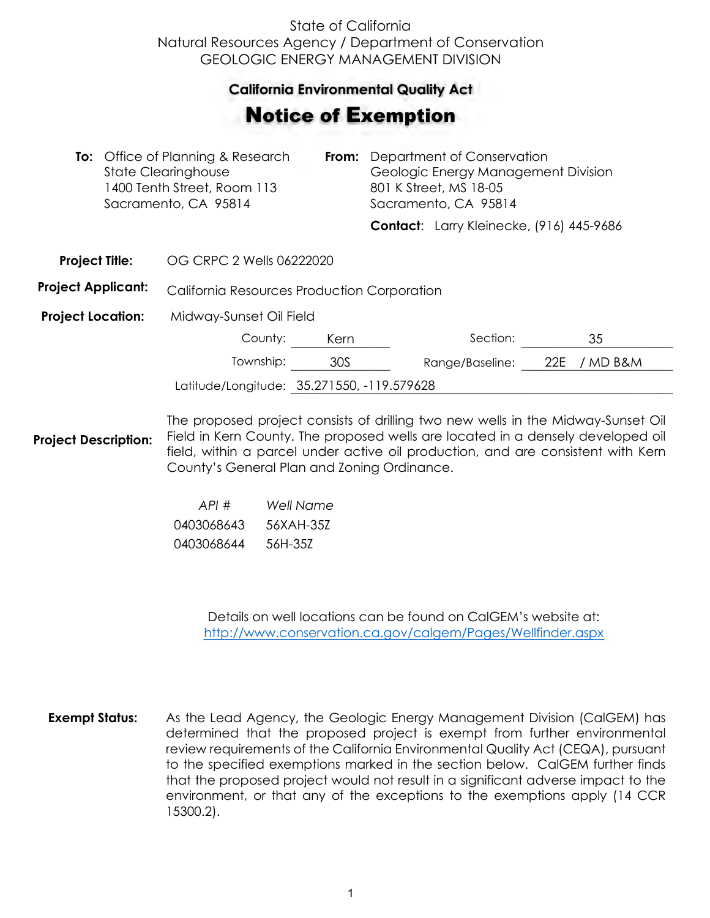## State of California Natural Resources Agency / Department of Conservation GEOLOGIC ENERGY MANAGEMENT DIVISION

## **California Environmental Quality Act**  California Environmental Quality Act

## Notice of Exemption **otice of Exemption**

|                           | To: Office of Planning & Research<br><b>State Clearinghouse</b><br>1400 Tenth Street, Room 113<br>Sacramento, CA 95814 | From: | Department of Conservation<br>Geologic Energy Management Division<br>801 K Street, MS 18-05<br>Sacramento, CA 95814 |                                          |     |          |
|---------------------------|------------------------------------------------------------------------------------------------------------------------|-------|---------------------------------------------------------------------------------------------------------------------|------------------------------------------|-----|----------|
|                           |                                                                                                                        |       |                                                                                                                     | Contact: Larry Kleinecke, (916) 445-9686 |     |          |
| <b>Project Title:</b>     | OG CRPC 2 Wells 06222020                                                                                               |       |                                                                                                                     |                                          |     |          |
| <b>Project Applicant:</b> | California Resources Production Corporation                                                                            |       |                                                                                                                     |                                          |     |          |
| <b>Project Location:</b>  | Midway-Sunset Oil Field                                                                                                |       |                                                                                                                     |                                          |     |          |
|                           | County:                                                                                                                | Kern  |                                                                                                                     | Section:                                 |     | 35       |
|                           | Township:                                                                                                              | 30S   |                                                                                                                     | Range/Baseline:                          | 22E | / MD B&M |
|                           | Latitude/Longitude: 35.271550, -119.579628                                                                             |       |                                                                                                                     |                                          |     |          |
|                           |                                                                                                                        |       |                                                                                                                     |                                          |     |          |

**Project Description:** The proposed project consists of drilling two new wells in the Midway-Sunset Oil Field in Kern County. The proposed wells are located in a densely developed oil field, within a parcel under active oil production, and are consistent with Kern County's General Plan and Zoning Ordinance.

| API#       | Well Name |
|------------|-----------|
| 0403068643 | 56XAH-357 |
| 0403068644 | 56H-357   |

Details on well locations can be found on CalGEM's website at: <http://www.conservation.ca.gov/calgem/Pages/Wellfinder.aspx>

**Exempt Status:** As the Lead Agency, the Geologic Energy Management Division (CalGEM) has determined that the proposed project is exempt from further environmental review requirements of the California Environmental Quality Act (CEQA), pursuant to the specified exemptions marked in the section below. CalGEM further finds that the proposed project would not result in a significant adverse impact to the environment, or that any of the exceptions to the exemptions apply (14 CCR 15300.2).